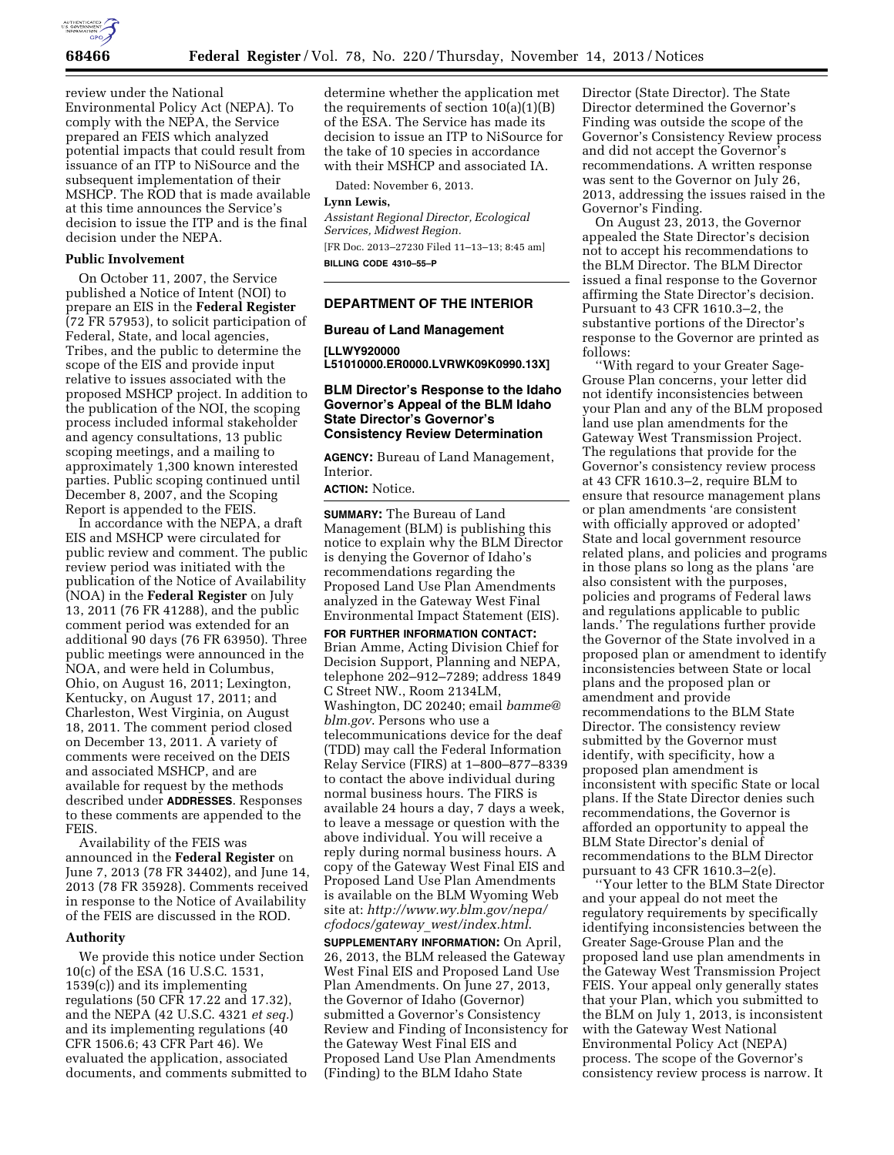

review under the National Environmental Policy Act (NEPA). To comply with the NEPA, the Service prepared an FEIS which analyzed potential impacts that could result from issuance of an ITP to NiSource and the subsequent implementation of their MSHCP. The ROD that is made available at this time announces the Service's decision to issue the ITP and is the final decision under the NEPA.

### **Public Involvement**

On October 11, 2007, the Service published a Notice of Intent (NOI) to prepare an EIS in the **Federal Register**  (72 FR 57953), to solicit participation of Federal, State, and local agencies, Tribes, and the public to determine the scope of the EIS and provide input relative to issues associated with the proposed MSHCP project. In addition to the publication of the NOI, the scoping process included informal stakeholder and agency consultations, 13 public scoping meetings, and a mailing to approximately 1,300 known interested parties. Public scoping continued until December 8, 2007, and the Scoping Report is appended to the FEIS.

In accordance with the NEPA, a draft EIS and MSHCP were circulated for public review and comment. The public review period was initiated with the publication of the Notice of Availability (NOA) in the **Federal Register** on July 13, 2011 (76 FR 41288), and the public comment period was extended for an additional 90 days (76 FR 63950). Three public meetings were announced in the NOA, and were held in Columbus, Ohio, on August 16, 2011; Lexington, Kentucky, on August 17, 2011; and Charleston, West Virginia, on August 18, 2011. The comment period closed on December 13, 2011. A variety of comments were received on the DEIS and associated MSHCP, and are available for request by the methods described under **ADDRESSES**. Responses to these comments are appended to the FEIS.

Availability of the FEIS was announced in the **Federal Register** on June 7, 2013 (78 FR 34402), and June 14, 2013 (78 FR 35928). Comments received in response to the Notice of Availability of the FEIS are discussed in the ROD.

## **Authority**

We provide this notice under Section 10(c) of the ESA (16 U.S.C. 1531, 1539(c)) and its implementing regulations (50 CFR 17.22 and 17.32), and the NEPA (42 U.S.C. 4321 *et seq.*) and its implementing regulations (40 CFR 1506.6; 43 CFR Part 46). We evaluated the application, associated documents, and comments submitted to determine whether the application met the requirements of section 10(a)(1)(B) of the ESA. The Service has made its decision to issue an ITP to NiSource for the take of 10 species in accordance with their MSHCP and associated IA.

Dated: November 6, 2013.

## **Lynn Lewis,**

*Assistant Regional Director, Ecological Services, Midwest Region.*  [FR Doc. 2013–27230 Filed 11–13–13; 8:45 am] **BILLING CODE 4310–55–P** 

## **DEPARTMENT OF THE INTERIOR**

## **Bureau of Land Management**

**[LLWY920000 L51010000.ER0000.LVRWK09K0990.13X]** 

## **BLM Director's Response to the Idaho Governor's Appeal of the BLM Idaho State Director's Governor's Consistency Review Determination**

**AGENCY:** Bureau of Land Management, Interior.

**ACTION:** Notice.

**SUMMARY:** The Bureau of Land Management (BLM) is publishing this notice to explain why the BLM Director is denying the Governor of Idaho's recommendations regarding the Proposed Land Use Plan Amendments analyzed in the Gateway West Final Environmental Impact Statement (EIS).

**FOR FURTHER INFORMATION CONTACT:**  Brian Amme, Acting Division Chief for Decision Support, Planning and NEPA, telephone 202–912–7289; address 1849 C Street NW., Room 2134LM, Washington, DC 20240; email *[bamme@](mailto:bamme@blm.gov) [blm.gov](mailto:bamme@blm.gov)*. Persons who use a telecommunications device for the deaf (TDD) may call the Federal Information Relay Service (FIRS) at 1–800–877–8339 to contact the above individual during normal business hours. The FIRS is available 24 hours a day, 7 days a week, to leave a message or question with the above individual. You will receive a reply during normal business hours. A copy of the Gateway West Final EIS and Proposed Land Use Plan Amendments is available on the BLM Wyoming Web site at: *[http://www.wy.blm.gov/nepa/](http://www.wy.blm.gov/nepa/cfodocs/gateway_west/index.html) [cfodocs/gateway](http://www.wy.blm.gov/nepa/cfodocs/gateway_west/index.html)*\_*west/index.html*.

**SUPPLEMENTARY INFORMATION:** On April, 26, 2013, the BLM released the Gateway West Final EIS and Proposed Land Use Plan Amendments. On June 27, 2013, the Governor of Idaho (Governor) submitted a Governor's Consistency Review and Finding of Inconsistency for the Gateway West Final EIS and Proposed Land Use Plan Amendments (Finding) to the BLM Idaho State

Director (State Director). The State Director determined the Governor's Finding was outside the scope of the Governor's Consistency Review process and did not accept the Governor's recommendations. A written response was sent to the Governor on July 26, 2013, addressing the issues raised in the Governor's Finding.

On August 23, 2013, the Governor appealed the State Director's decision not to accept his recommendations to the BLM Director. The BLM Director issued a final response to the Governor affirming the State Director's decision. Pursuant to 43 CFR 1610.3–2, the substantive portions of the Director's response to the Governor are printed as follows:

''With regard to your Greater Sage-Grouse Plan concerns, your letter did not identify inconsistencies between your Plan and any of the BLM proposed land use plan amendments for the Gateway West Transmission Project. The regulations that provide for the Governor's consistency review process at 43 CFR 1610.3–2, require BLM to ensure that resource management plans or plan amendments 'are consistent with officially approved or adopted' State and local government resource related plans, and policies and programs in those plans so long as the plans 'are also consistent with the purposes, policies and programs of Federal laws and regulations applicable to public lands.' The regulations further provide the Governor of the State involved in a proposed plan or amendment to identify inconsistencies between State or local plans and the proposed plan or amendment and provide recommendations to the BLM State Director. The consistency review submitted by the Governor must identify, with specificity, how a proposed plan amendment is inconsistent with specific State or local plans. If the State Director denies such recommendations, the Governor is afforded an opportunity to appeal the BLM State Director's denial of recommendations to the BLM Director pursuant to 43 CFR 1610.3–2(e).

''Your letter to the BLM State Director and your appeal do not meet the regulatory requirements by specifically identifying inconsistencies between the Greater Sage-Grouse Plan and the proposed land use plan amendments in the Gateway West Transmission Project FEIS. Your appeal only generally states that your Plan, which you submitted to the BLM on July 1, 2013, is inconsistent with the Gateway West National Environmental Policy Act (NEPA) process. The scope of the Governor's consistency review process is narrow. It